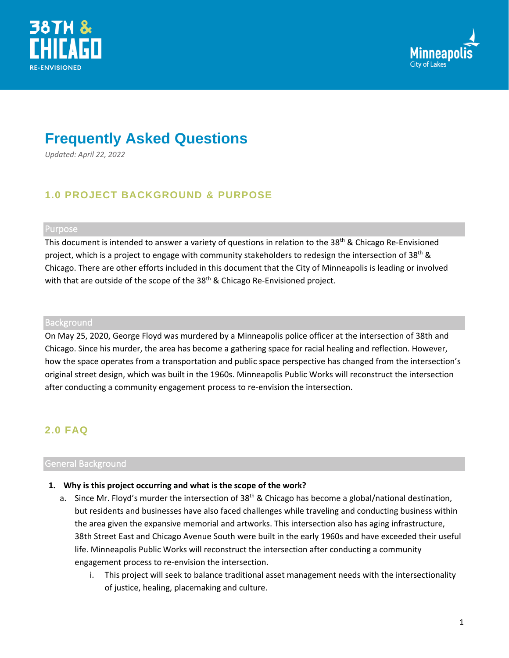



# **Frequently Asked Questions**

*Updated: April 22, 2022*

# **1.0 PROJECT BACKGROUND & PURPOSE**

#### Purpose

This document is intended to answer a variety of questions in relation to the 38<sup>th</sup> & Chicago Re-Envisioned project, which is a project to engage with community stakeholders to redesign the intersection of 38<sup>th</sup> & Chicago. There are other efforts included in this document that the City of Minneapolis is leading or involved with that are outside of the scope of the 38<sup>th</sup> & Chicago Re-Envisioned project.

#### **Background**

On May 25, 2020, George Floyd was murdered by a Minneapolis police officer at the intersection of 38th and Chicago. Since his murder, the area has become a gathering space for racial healing and reflection. However, how the space operates from a transportation and public space perspective has changed from the intersection's original street design, which was built in the 1960s. Minneapolis Public Works will reconstruct the intersection after conducting a community engagement process to re-envision the intersection.

## **2.0 FAQ**

## General Background

## **1. Why is this project occurring and what is the scope of the work?**

- a. Since Mr. Floyd's murder the intersection of 38<sup>th</sup> & Chicago has become a global/national destination, but residents and businesses have also faced challenges while traveling and conducting business within the area given the expansive memorial and artworks. This intersection also has aging infrastructure, 38th Street East and Chicago Avenue South were built in the early 1960s and have exceeded their useful life. Minneapolis Public Works will reconstruct the intersection after conducting a community engagement process to re-envision the intersection.
	- i. This project will seek to balance traditional asset management needs with the intersectionality of justice, healing, placemaking and culture.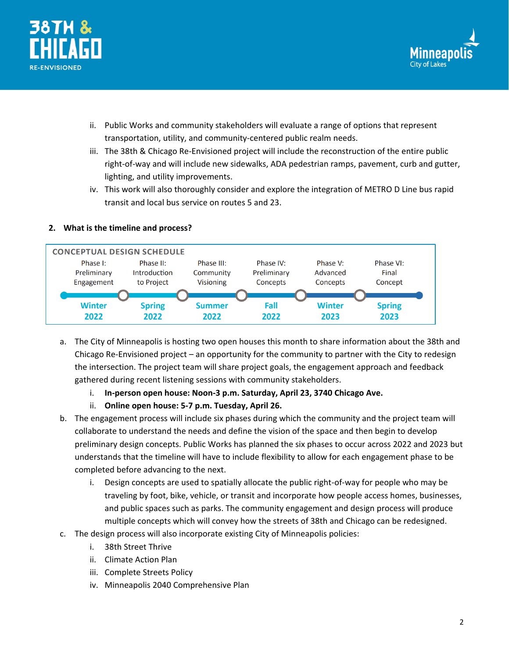



- ii. Public Works and community stakeholders will evaluate a range of options that represent transportation, utility, and community-centered public realm needs.
- iii. The 38th & Chicago Re-Envisioned project will include the reconstruction of the entire public right-of-way and will include new sidewalks, ADA pedestrian ramps, pavement, curb and gutter, lighting, and utility improvements.
- iv. This work will also thoroughly consider and explore the integration of METRO D Line bus rapid transit and local bus service on routes 5 and 23.

## **2. What is the timeline and process?**



- a. The City of Minneapolis is hosting two open houses this month to share information about the 38th and Chicago Re-Envisioned project – an opportunity for the community to partner with the City to redesign the intersection. The project team will share project goals, the engagement approach and feedback gathered during recent listening sessions with community stakeholders.
	- i. **In-person open house: Noon-3 p.m. Saturday, April 23, 3740 Chicago Ave.**
	- ii. **Online open house: 5-7 p.m. Tuesday, April 26.**
- b. The engagement process will include six phases during which the community and the project team will collaborate to understand the needs and define the vision of the space and then begin to develop preliminary design concepts. Public Works has planned the six phases to occur across 2022 and 2023 but understands that the timeline will have to include flexibility to allow for each engagement phase to be completed before advancing to the next.
	- i. Design concepts are used to spatially allocate the public right-of-way for people who may be traveling by foot, bike, vehicle, or transit and incorporate how people access homes, businesses, and public spaces such as parks. The community engagement and design process will produce multiple concepts which will convey how the streets of 38th and Chicago can be redesigned.
- c. The design process will also incorporate existing City of Minneapolis policies:
	- i. 38th Street Thrive
	- ii. Climate Action Plan
	- iii. Complete Streets Policy
	- iv. Minneapolis 2040 Comprehensive Plan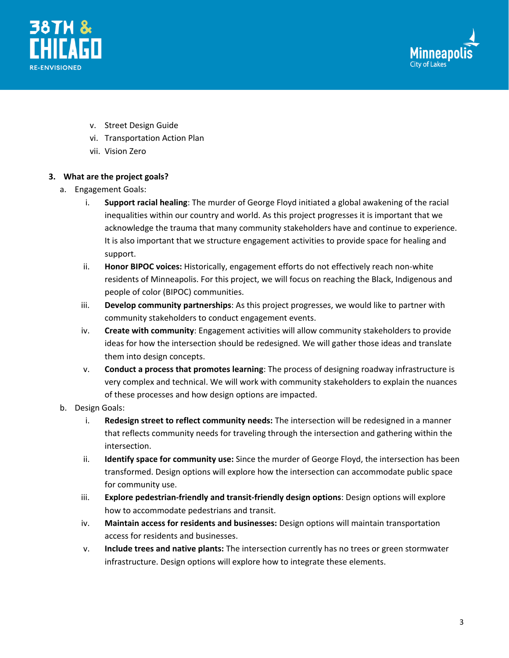



- v. Street Design Guide
- vi. Transportation Action Plan
- vii. Vision Zero

## **3. What are the project goals?**

- a. Engagement Goals:
	- i. **Support racial healing**: The murder of George Floyd initiated a global awakening of the racial inequalities within our country and world. As this project progresses it is important that we acknowledge the trauma that many community stakeholders have and continue to experience. It is also important that we structure engagement activities to provide space for healing and support.
	- ii. **Honor BIPOC voices:** Historically, engagement efforts do not effectively reach non-white residents of Minneapolis. For this project, we will focus on reaching the Black, Indigenous and people of color (BIPOC) communities.
	- iii. **Develop community partnerships**: As this project progresses, we would like to partner with community stakeholders to conduct engagement events.
	- iv. **Create with community**: Engagement activities will allow community stakeholders to provide ideas for how the intersection should be redesigned. We will gather those ideas and translate them into design concepts.
	- v. **Conduct a process that promotes learning**: The process of designing roadway infrastructure is very complex and technical. We will work with community stakeholders to explain the nuances of these processes and how design options are impacted.
- b. Design Goals:
	- i. **Redesign street to reflect community needs:** The intersection will be redesigned in a manner that reflects community needs for traveling through the intersection and gathering within the intersection.
	- ii. **Identify space for community use:** Since the murder of George Floyd, the intersection has been transformed. Design options will explore how the intersection can accommodate public space for community use.
	- iii. **Explore pedestrian-friendly and transit-friendly design options**: Design options will explore how to accommodate pedestrians and transit.
	- iv. **Maintain access for residents and businesses:** Design options will maintain transportation access for residents and businesses.
	- v. **Include trees and native plants:** The intersection currently has no trees or green stormwater infrastructure. Design options will explore how to integrate these elements.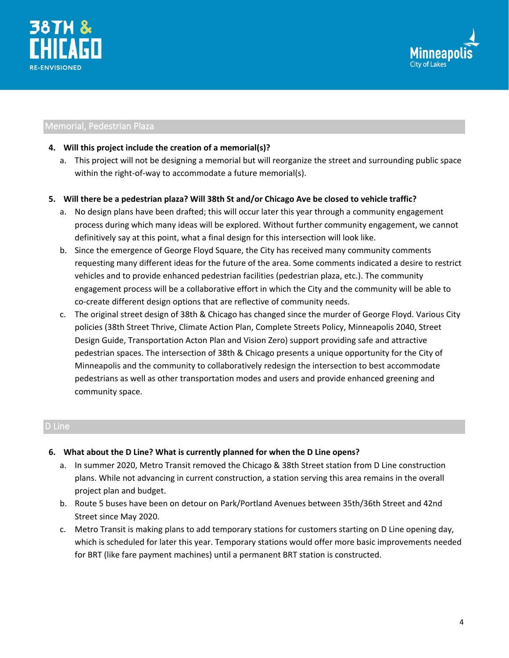



## Memorial, Pedestrian Plaza

#### **4. Will this project include the creation of a memorial(s)?**

a. This project will not be designing a memorial but will reorganize the street and surrounding public space within the right-of-way to accommodate a future memorial(s).

## **5. Will there be a pedestrian plaza? Will 38th St and/or Chicago Ave be closed to vehicle traffic?**

- a. No design plans have been drafted; this will occur later this year through a community engagement process during which many ideas will be explored. Without further community engagement, we cannot definitively say at this point, what a final design for this intersection will look like.
- b. Since the emergence of George Floyd Square, the City has received many community comments requesting many different ideas for the future of the area. Some comments indicated a desire to restrict vehicles and to provide enhanced pedestrian facilities (pedestrian plaza, etc.). The community engagement process will be a collaborative effort in which the City and the community will be able to co-create different design options that are reflective of community needs.
- c. The original street design of 38th & Chicago has changed since the murder of George Floyd. Various City policies (38th Street Thrive, Climate Action Plan, Complete Streets Policy, Minneapolis 2040, Street Design Guide, Transportation Acton Plan and Vision Zero) support providing safe and attractive pedestrian spaces. The intersection of 38th & Chicago presents a unique opportunity for the City of Minneapolis and the community to collaboratively redesign the intersection to best accommodate pedestrians as well as other transportation modes and users and provide enhanced greening and community space.

## D Line

#### **6. What about the D Line? What is currently planned for when the D Line opens?**

- a. In summer 2020, Metro Transit removed the Chicago & 38th Street station from D Line construction plans. While not advancing in current construction, a station serving this area remains in the overall project plan and budget.
- b. Route 5 buses have been on detour on Park/Portland Avenues between 35th/36th Street and 42nd Street since May 2020.
- c. Metro Transit is making plans to add temporary stations for customers starting on D Line opening day, which is scheduled for later this year. Temporary stations would offer more basic improvements needed for BRT (like fare payment machines) until a permanent BRT station is constructed.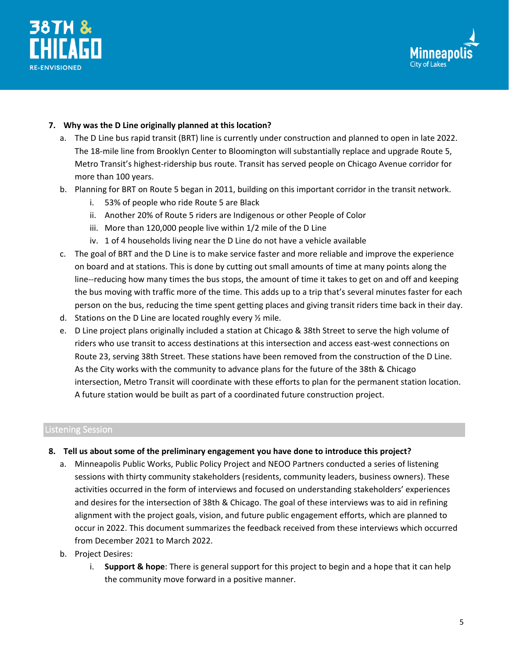



## **7. Why was the D Line originally planned at this location?**

- a. The D Line bus rapid transit (BRT) line is currently under construction and planned to open in late 2022. The 18-mile line from Brooklyn Center to Bloomington will substantially replace and upgrade Route 5, Metro Transit's highest-ridership bus route. Transit has served people on Chicago Avenue corridor for more than 100 years.
- b. Planning for BRT on Route 5 began in 2011, building on this important corridor in the transit network.
	- i. 53% of people who ride Route 5 are Black
	- ii. Another 20% of Route 5 riders are Indigenous or other People of Color
	- iii. More than 120,000 people live within 1/2 mile of the D Line
	- iv. 1 of 4 households living near the D Line do not have a vehicle available
- c. The goal of BRT and the D Line is to make service faster and more reliable and improve the experience on board and at stations. This is done by cutting out small amounts of time at many points along the line--reducing how many times the bus stops, the amount of time it takes to get on and off and keeping the bus moving with traffic more of the time. This adds up to a trip that's several minutes faster for each person on the bus, reducing the time spent getting places and giving transit riders time back in their day.
- d. Stations on the D Line are located roughly every ½ mile.
- e. D Line project plans originally included a station at Chicago & 38th Street to serve the high volume of riders who use transit to access destinations at this intersection and access east-west connections on Route 23, serving 38th Street. These stations have been removed from the construction of the D Line. As the City works with the community to advance plans for the future of the 38th & Chicago intersection, Metro Transit will coordinate with these efforts to plan for the permanent station location. A future station would be built as part of a coordinated future construction project.

## Listening Session

- **8. Tell us about some of the preliminary engagement you have done to introduce this project?**
	- a. Minneapolis Public Works, Public Policy Project and NEOO Partners conducted a series of listening sessions with thirty community stakeholders (residents, community leaders, business owners). These activities occurred in the form of interviews and focused on understanding stakeholders' experiences and desires for the intersection of 38th & Chicago. The goal of these interviews was to aid in refining alignment with the project goals, vision, and future public engagement efforts, which are planned to occur in 2022. This document summarizes the feedback received from these interviews which occurred from December 2021 to March 2022.
	- b. Project Desires:
		- i. **Support & hope**: There is general support for this project to begin and a hope that it can help the community move forward in a positive manner.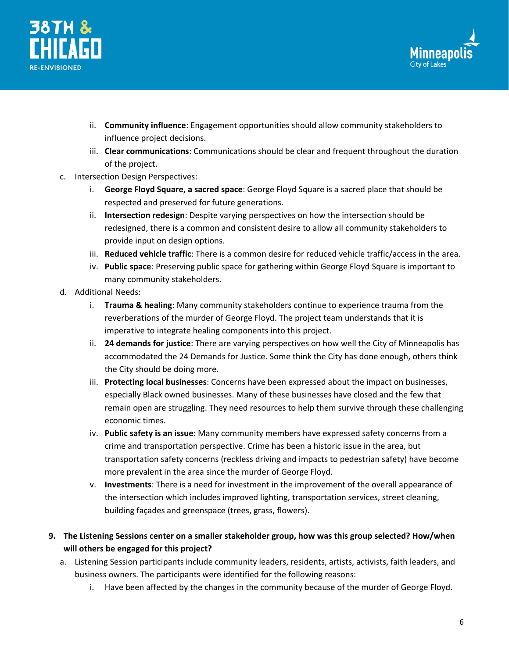



- ii. **Community influence**: Engagement opportunities should allow community stakeholders to influence project decisions.
- iii. **Clear communications**: Communications should be clear and frequent throughout the duration of the project.
- c. Intersection Design Perspectives:
	- i. **George Floyd Square, a sacred space**: George Floyd Square is a sacred place that should be respected and preserved for future generations.
	- ii. **Intersection redesign**: Despite varying perspectives on how the intersection should be redesigned, there is a common and consistent desire to allow all community stakeholders to provide input on design options.
	- iii. **Reduced vehicle traffic**: There is a common desire for reduced vehicle traffic/access in the area.
	- iv. **Public space**: Preserving public space for gathering within George Floyd Square is important to many community stakeholders.
- d. Additional Needs:
	- i. **Trauma & healing**: Many community stakeholders continue to experience trauma from the reverberations of the murder of George Floyd. The project team understands that it is imperative to integrate healing components into this project.
	- ii. **24 demands for justice**: There are varying perspectives on how well the City of Minneapolis has accommodated the 24 Demands for Justice. Some think the City has done enough, others think the City should be doing more.
	- iii. **Protecting local businesses**: Concerns have been expressed about the impact on businesses, especially Black owned businesses. Many of these businesses have closed and the few that remain open are struggling. They need resources to help them survive through these challenging economic times.
	- iv. **Public safety is an issue**: Many community members have expressed safety concerns from a crime and transportation perspective. Crime has been a historic issue in the area, but transportation safety concerns (reckless driving and impacts to pedestrian safety) have become more prevalent in the area since the murder of George Floyd.
	- v. **Investments**: There is a need for investment in the improvement of the overall appearance of the intersection which includes improved lighting, transportation services, street cleaning, building façades and greenspace (trees, grass, flowers).
- **9. The Listening Sessions center on a smaller stakeholder group, how was this group selected? How/when will others be engaged for this project?**
	- a. Listening Session participants include community leaders, residents, artists, activists, faith leaders, and business owners. The participants were identified for the following reasons:
		- i. Have been affected by the changes in the community because of the murder of George Floyd.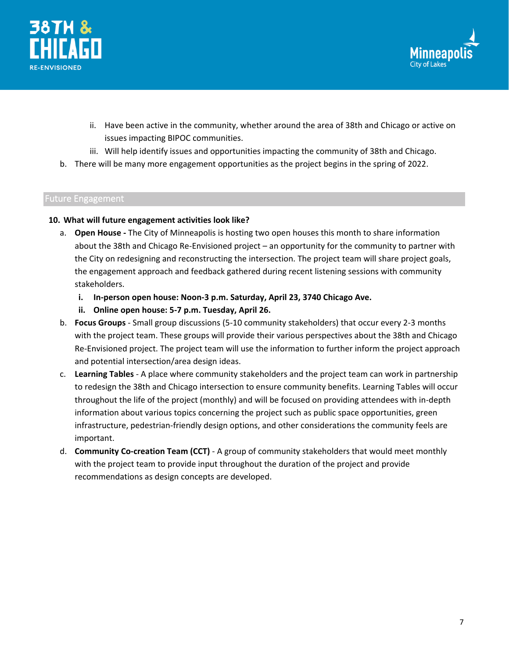



- ii. Have been active in the community, whether around the area of 38th and Chicago or active on issues impacting BIPOC communities.
- iii. Will help identify issues and opportunities impacting the community of 38th and Chicago.
- b. There will be many more engagement opportunities as the project begins in the spring of 2022.

## Future Engagement

## **10. What will future engagement activities look like?**

- a. **Open House -** The City of Minneapolis is hosting two open houses this month to share information about the 38th and Chicago Re-Envisioned project – an opportunity for the community to partner with the City on redesigning and reconstructing the intersection. The project team will share project goals, the engagement approach and feedback gathered during recent listening sessions with community stakeholders.
	- **i. In-person open house: Noon-3 p.m. Saturday, April 23, 3740 Chicago Ave.**
	- **ii. Online open house: 5-7 p.m. Tuesday, April 26.**
- b. **Focus Groups** Small group discussions (5-10 community stakeholders) that occur every 2-3 months with the project team. These groups will provide their various perspectives about the 38th and Chicago Re-Envisioned project. The project team will use the information to further inform the project approach and potential intersection/area design ideas.
- c. **Learning Tables** A place where community stakeholders and the project team can work in partnership to redesign the 38th and Chicago intersection to ensure community benefits. Learning Tables will occur throughout the life of the project (monthly) and will be focused on providing attendees with in-depth information about various topics concerning the project such as public space opportunities, green infrastructure, pedestrian-friendly design options, and other considerations the community feels are important.
- d. **Community Co-creation Team (CCT)** A group of community stakeholders that would meet monthly with the project team to provide input throughout the duration of the project and provide recommendations as design concepts are developed.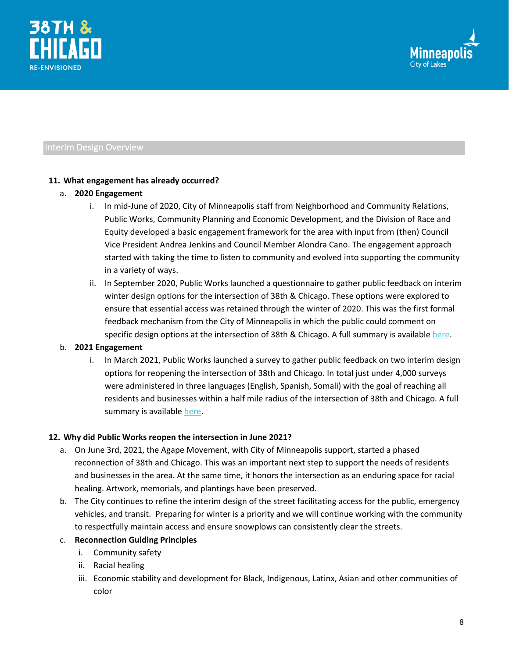



## Interim Design Overview

## **11. What engagement has already occurred?**

## a. **2020 Engagement**

- i. In mid-June of 2020, City of Minneapolis staff from Neighborhood and Community Relations, Public Works, Community Planning and Economic Development, and the Division of Race and Equity developed a basic engagement framework for the area with input from (then) Council Vice President Andrea Jenkins and Council Member Alondra Cano. The engagement approach started with taking the time to listen to community and evolved into supporting the community in a variety of ways.
- ii. In September 2020, Public Works launched a questionnaire to gather public feedback on interim winter design options for the intersection of 38th & Chicago. These options were explored to ensure that essential access was retained through the winter of 2020. This was the first formal feedback mechanism from the City of Minneapolis in which the public could comment on specific design options at the intersection of 38th & Chicago. A full summary is available [here.](https://www.minneapolismn.gov/government/programs-initiatives/38th-chicago/survey-feedback-summary/)

## b. **2021 Engagement**

i. In March 2021, Public Works launched a survey to gather public feedback on two interim design options for reopening the intersection of 38th and Chicago. In total just under 4,000 surveys were administered in three languages (English, Spanish, Somali) with the goal of reaching all residents and businesses within a half mile radius of the intersection of 38th and Chicago. A full summary is availabl[e here.](https://www.minneapolismn.gov/government/programs-initiatives/38th-chicago/design-survey-summary/)

## **12. Why did Public Works reopen the intersection in June 2021?**

- a. On June 3rd, 2021, the Agape Movement, with City of Minneapolis support, started a phased reconnection of 38th and Chicago. This was an important next step to support the needs of residents and businesses in the area. At the same time, it honors the intersection as an enduring space for racial healing. Artwork, memorials, and plantings have been preserved.
- b. The City continues to refine the interim design of the street facilitating access for the public, emergency vehicles, and transit. Preparing for winter is a priority and we will continue working with the community to respectfully maintain access and ensure snowplows can consistently clear the streets.

## c. **Reconnection Guiding Principles**

- i. Community safety
- ii. Racial healing
- iii. Economic stability and development for Black, Indigenous, Latinx, Asian and other communities of color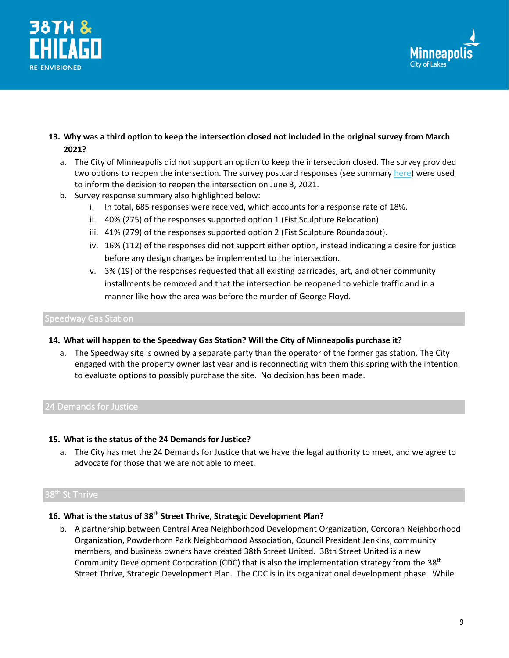



- **13. Why was a third option to keep the intersection closed not included in the original survey from March 2021?**
	- a. The City of Minneapolis did not support an option to keep the intersection closed. The survey provided two options to reopen the intersection. The survey postcard responses (see summary [here\)](https://www.minneapolismn.gov/media/-www-content-assets/documents/38th-and-Chicago_Interim-Design-Survey-Summary_Minneapolis-Public-Works.pdf) were used to inform the decision to reopen the intersection on June 3, 2021.
	- b. Survey response summary also highlighted below:
		- i. In total, 685 responses were received, which accounts for a response rate of 18%.
		- ii. 40% (275) of the responses supported option 1 (Fist Sculpture Relocation).
		- iii. 41% (279) of the responses supported option 2 (Fist Sculpture Roundabout).
		- iv. 16% (112) of the responses did not support either option, instead indicating a desire for justice before any design changes be implemented to the intersection.
		- v. 3% (19) of the responses requested that all existing barricades, art, and other community installments be removed and that the intersection be reopened to vehicle traffic and in a manner like how the area was before the murder of George Floyd.

#### Speedway Gas Station

## **14. What will happen to the Speedway Gas Station? Will the City of Minneapolis purchase it?**

a. The Speedway site is owned by a separate party than the operator of the former gas station. The City engaged with the property owner last year and is reconnecting with them this spring with the intention to evaluate options to possibly purchase the site. No decision has been made.

## 24 Demands for Justice

#### **15. What is the status of the 24 Demands for Justice?**

a. The City has met the 24 Demands for Justice that we have the legal authority to meet, and we agree to advocate for those that we are not able to meet.

## 38<sup>th</sup> St Thrive

## **16. What is the status of 38th Street Thrive, Strategic Development Plan?**

b. A partnership between Central Area Neighborhood Development Organization, Corcoran Neighborhood Organization, Powderhorn Park Neighborhood Association, Council President Jenkins, community members, and business owners have created 38th Street United. 38th Street United is a new Community Development Corporation (CDC) that is also the implementation strategy from the 38<sup>th</sup> Street Thrive, Strategic Development Plan. The CDC is in its organizational development phase. While